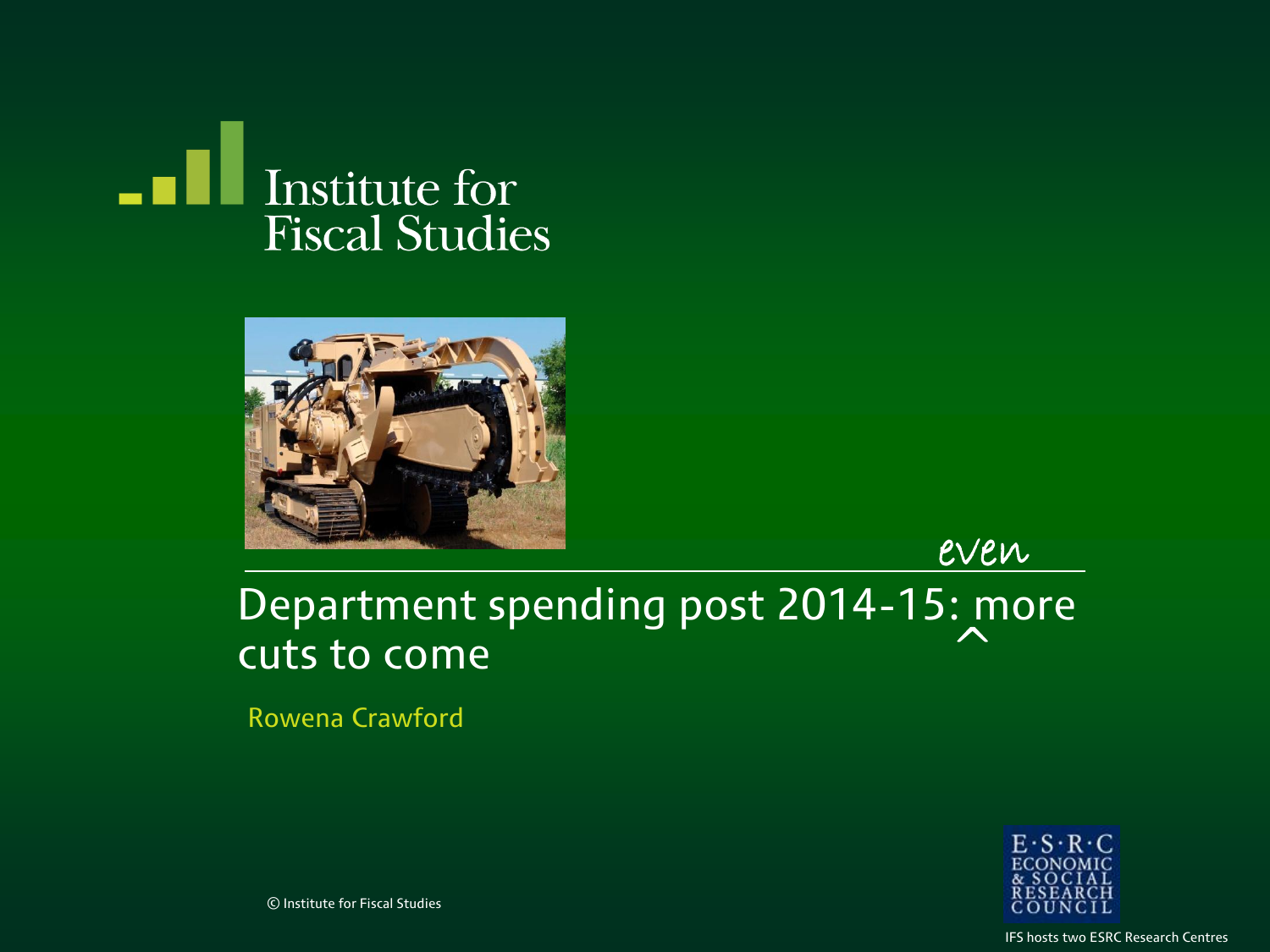



even

#### Department spending post 2014-15: more cuts to come  $\triangle$

Rowena Crawford



© Institute for Fiscal Studies

IFS hosts two ESRC Research Centres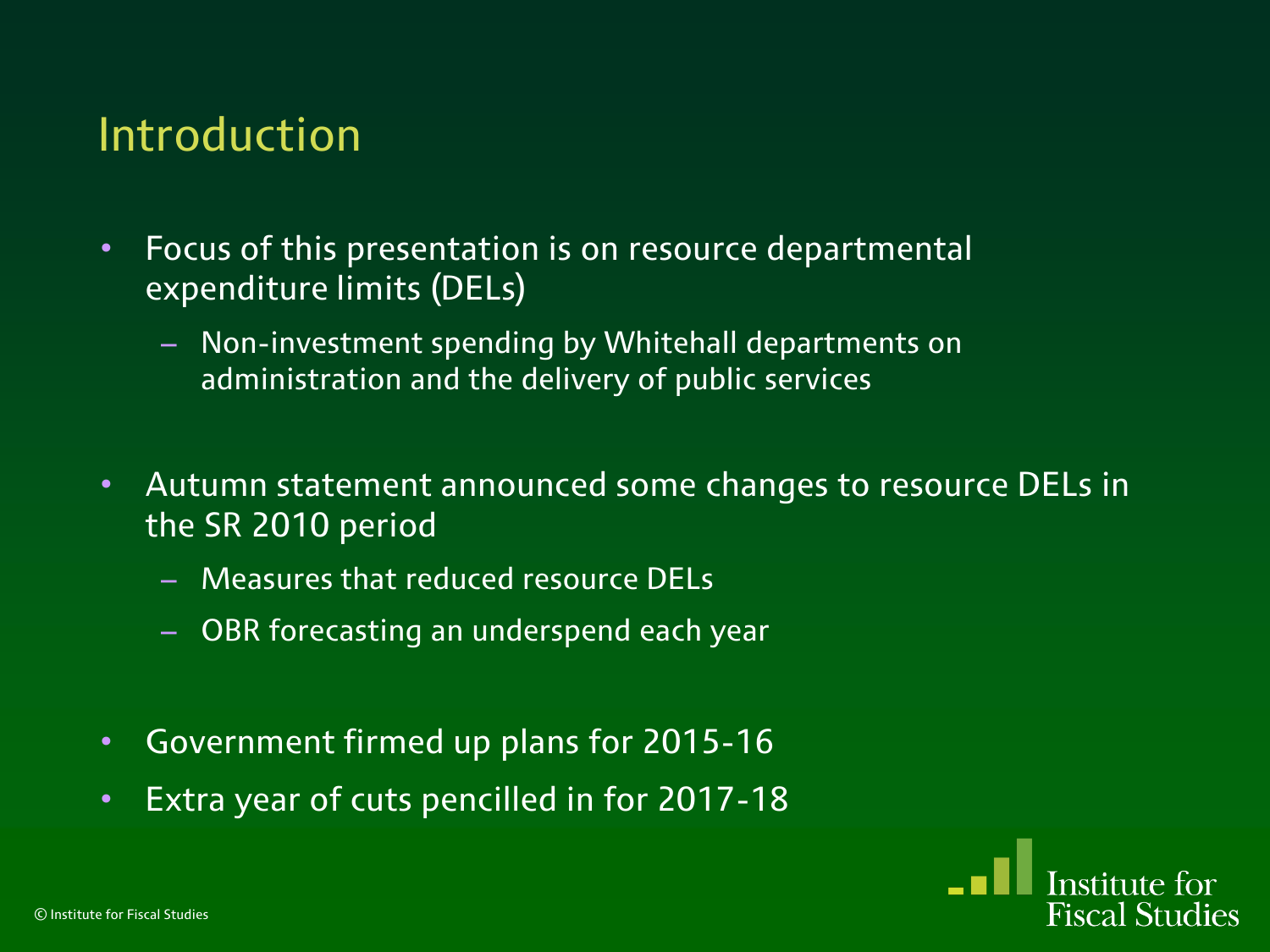#### Introduction

- Focus of this presentation is on resource departmental expenditure limits (DELs)
	- Non-investment spending by Whitehall departments on administration and the delivery of public services
- Autumn statement announced some changes to resource DELs in the SR 2010 period
	- Measures that reduced resource DELs
	- OBR forecasting an underspend each year
- Government firmed up plans for 2015-16
- Extra year of cuts pencilled in for 2017-18

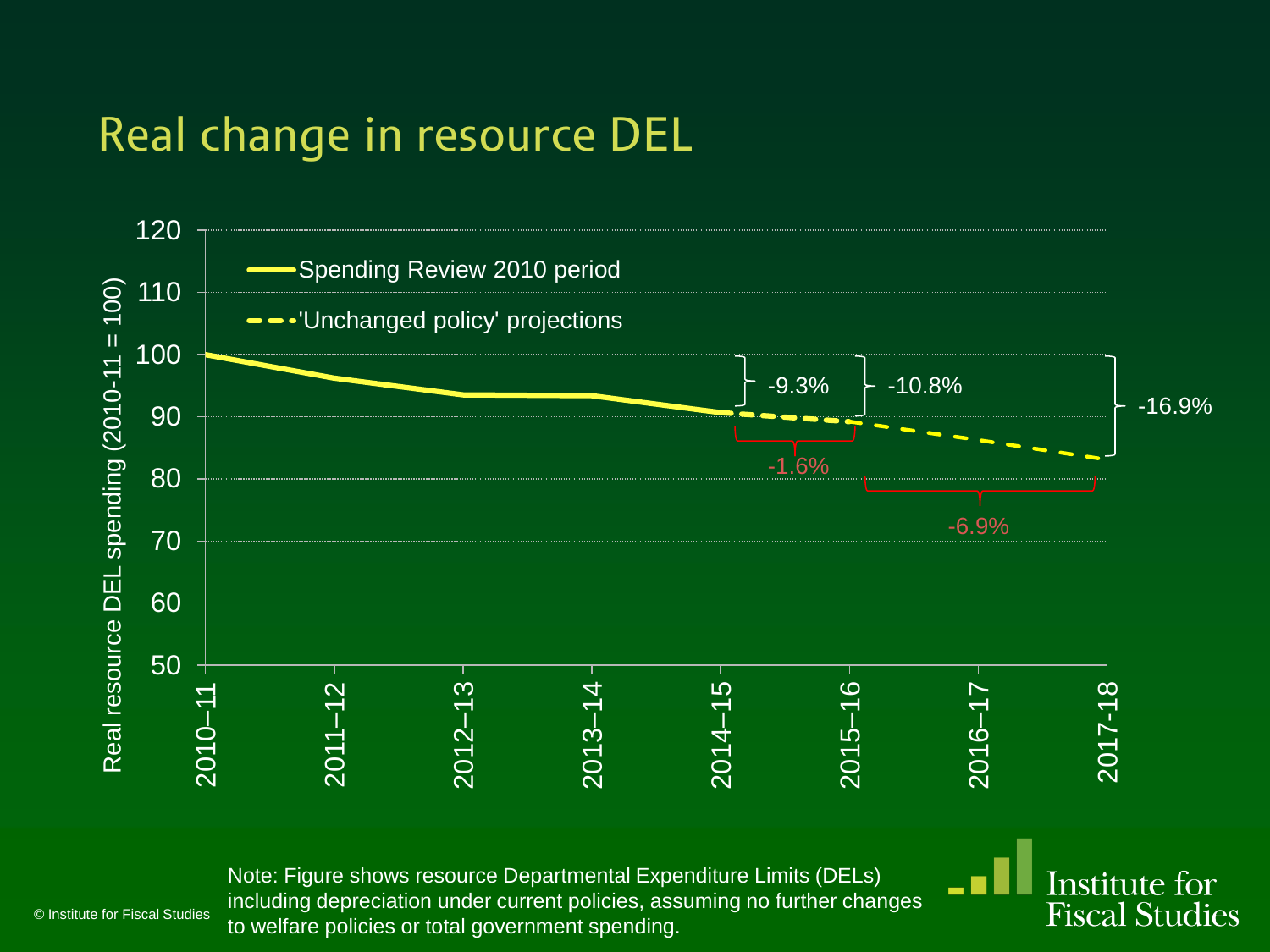#### Real change in resource DEL



Institute for **Fiscal Studies** 

Note: Figure shows resource Departmental Expenditure Limits (DELs) including depreciation under current policies, assuming no further changes to welfare policies or total government spending.

© Institute for Fiscal Studies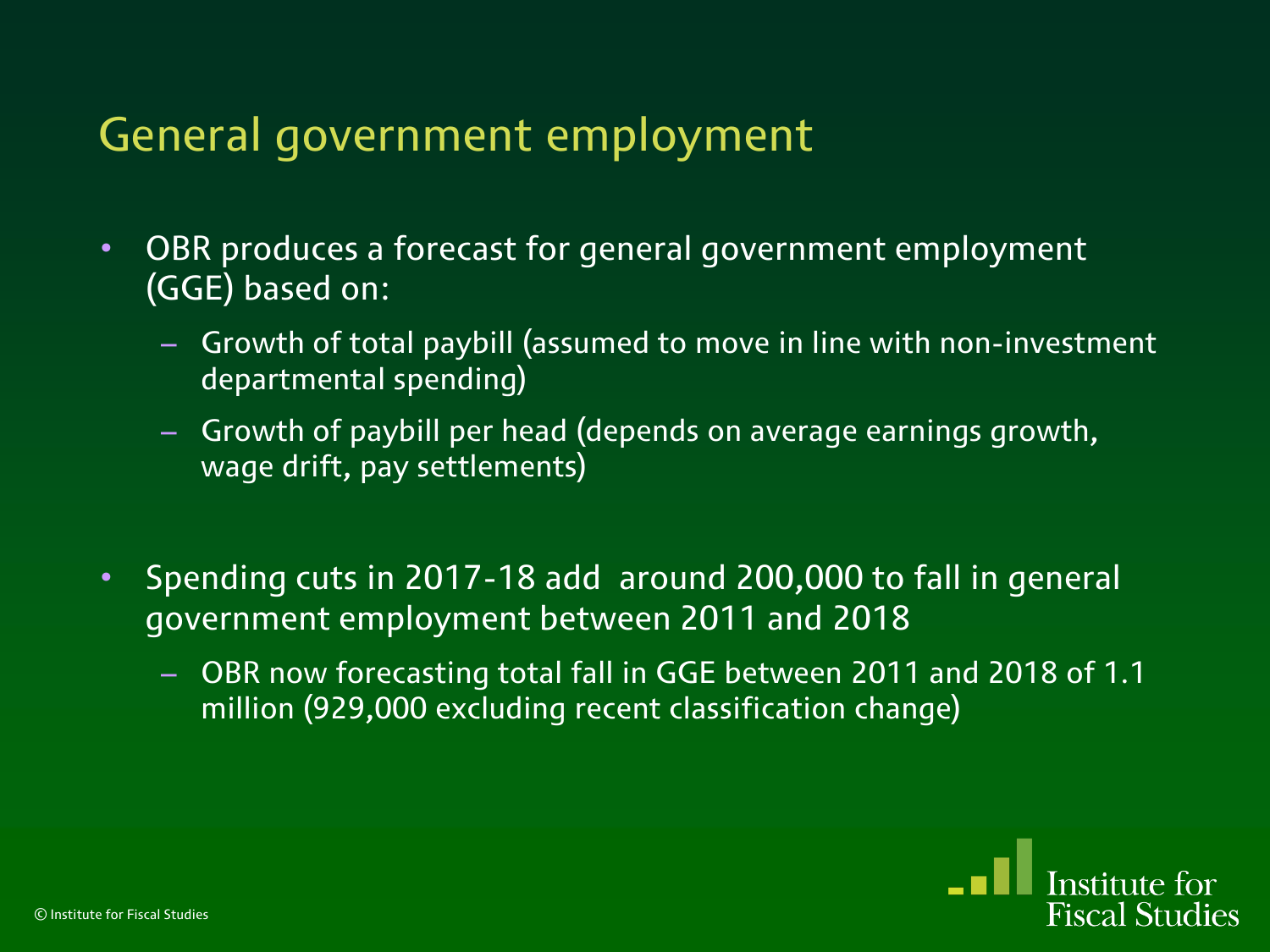#### General government employment

- OBR produces a forecast for general government employment (GGE) based on:
	- Growth of total paybill (assumed to move in line with non-investment departmental spending)
	- Growth of paybill per head (depends on average earnings growth, wage drift, pay settlements)
- Spending cuts in 2017-18 add around 200,000 to fall in general government employment between 2011 and 2018
	- OBR now forecasting total fall in GGE between 2011 and 2018 of 1.1 million (929,000 excluding recent classification change)

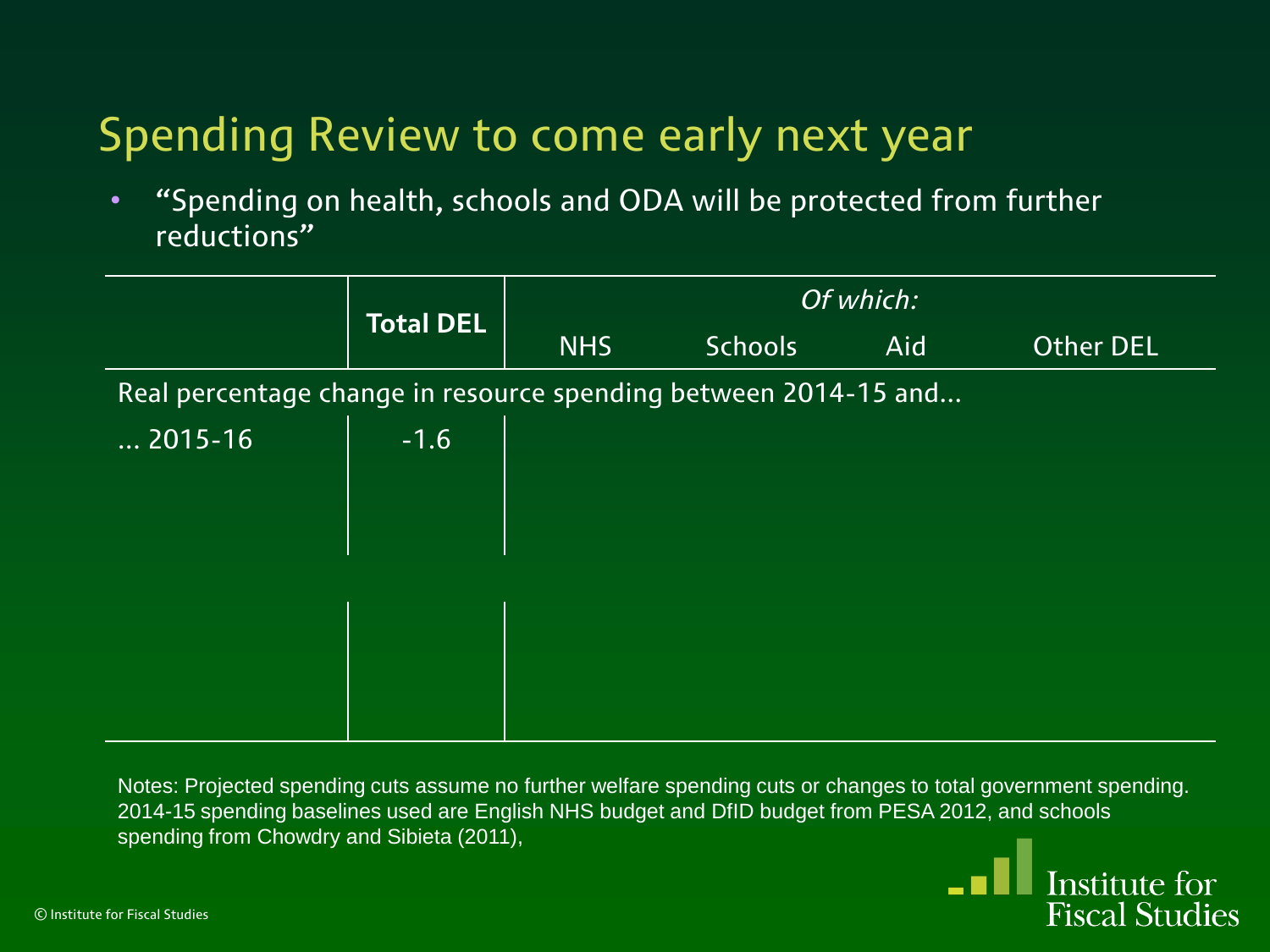• "Spending on health, schools and ODA will be protected from further reductions"

|                                                                 | <b>Total DEL</b> | Of which:  |                |     |           |  |  |
|-----------------------------------------------------------------|------------------|------------|----------------|-----|-----------|--|--|
|                                                                 |                  | <b>NHS</b> | <b>Schools</b> | Aid | Other DEL |  |  |
| Real percentage change in resource spending between 2014-15 and |                  |            |                |     |           |  |  |
| $\dots$ 2015-16                                                 | $-1.6$           |            |                |     |           |  |  |
|                                                                 |                  |            |                |     |           |  |  |
|                                                                 |                  |            |                |     |           |  |  |
|                                                                 |                  |            |                |     |           |  |  |
|                                                                 |                  |            |                |     |           |  |  |
|                                                                 |                  |            |                |     |           |  |  |
|                                                                 |                  |            |                |     |           |  |  |

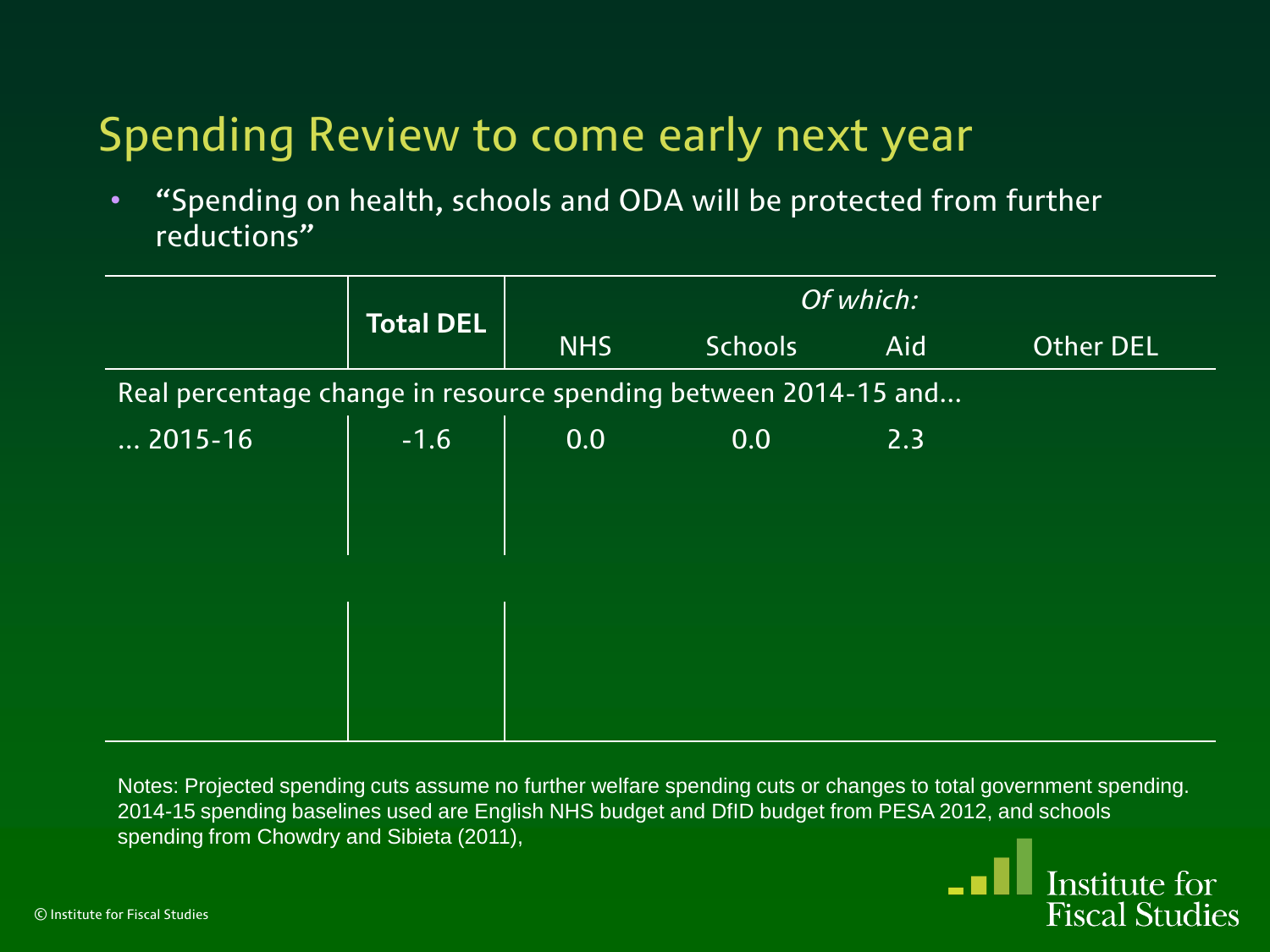• "Spending on health, schools and ODA will be protected from further reductions"

|                                                                 | <b>Total DEL</b> | Of which:  |                |     |           |
|-----------------------------------------------------------------|------------------|------------|----------------|-----|-----------|
|                                                                 |                  | <b>NHS</b> | <b>Schools</b> | Aid | Other DEL |
| Real percentage change in resource spending between 2014-15 and |                  |            |                |     |           |
| $\dots$ 2015-16                                                 | $-1.6$           | 0.0        | 0.0            | 2.3 |           |
|                                                                 |                  |            |                |     |           |
|                                                                 |                  |            |                |     |           |
|                                                                 |                  |            |                |     |           |
|                                                                 |                  |            |                |     |           |
|                                                                 |                  |            |                |     |           |
|                                                                 |                  |            |                |     |           |

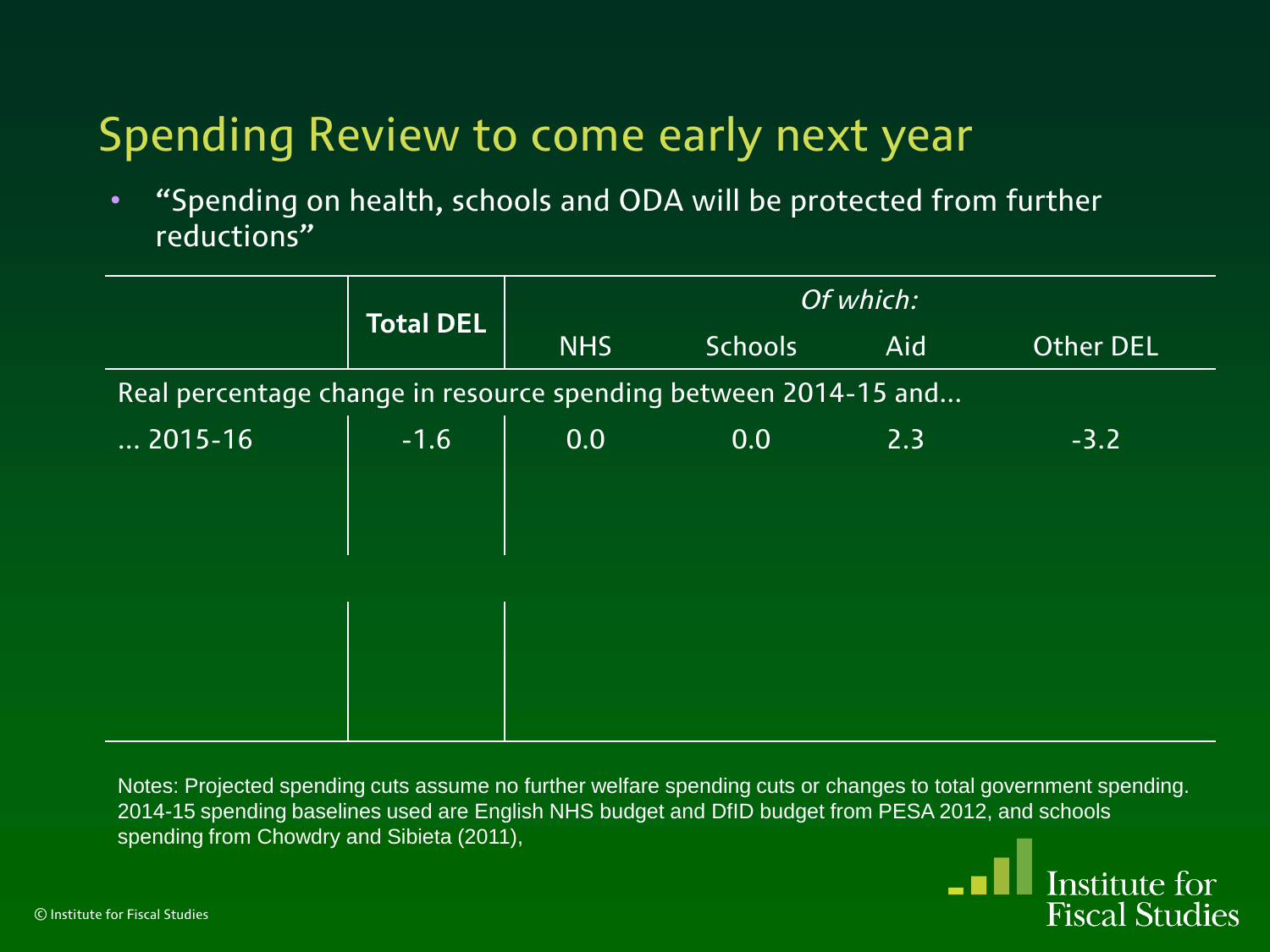• "Spending on health, schools and ODA will be protected from further reductions"

|                 | <b>Total DEL</b>                                                | Of which:  |                |     |           |  |  |  |
|-----------------|-----------------------------------------------------------------|------------|----------------|-----|-----------|--|--|--|
|                 |                                                                 | <b>NHS</b> | <b>Schools</b> | Aid | Other DEL |  |  |  |
|                 | Real percentage change in resource spending between 2014-15 and |            |                |     |           |  |  |  |
| $\dots$ 2015-16 | $-1.6$                                                          | 0.0        | 0.0            | 2.3 | $-3.2$    |  |  |  |
|                 |                                                                 |            |                |     |           |  |  |  |
|                 |                                                                 |            |                |     |           |  |  |  |
|                 |                                                                 |            |                |     |           |  |  |  |
|                 |                                                                 |            |                |     |           |  |  |  |
|                 |                                                                 |            |                |     |           |  |  |  |
|                 |                                                                 |            |                |     |           |  |  |  |

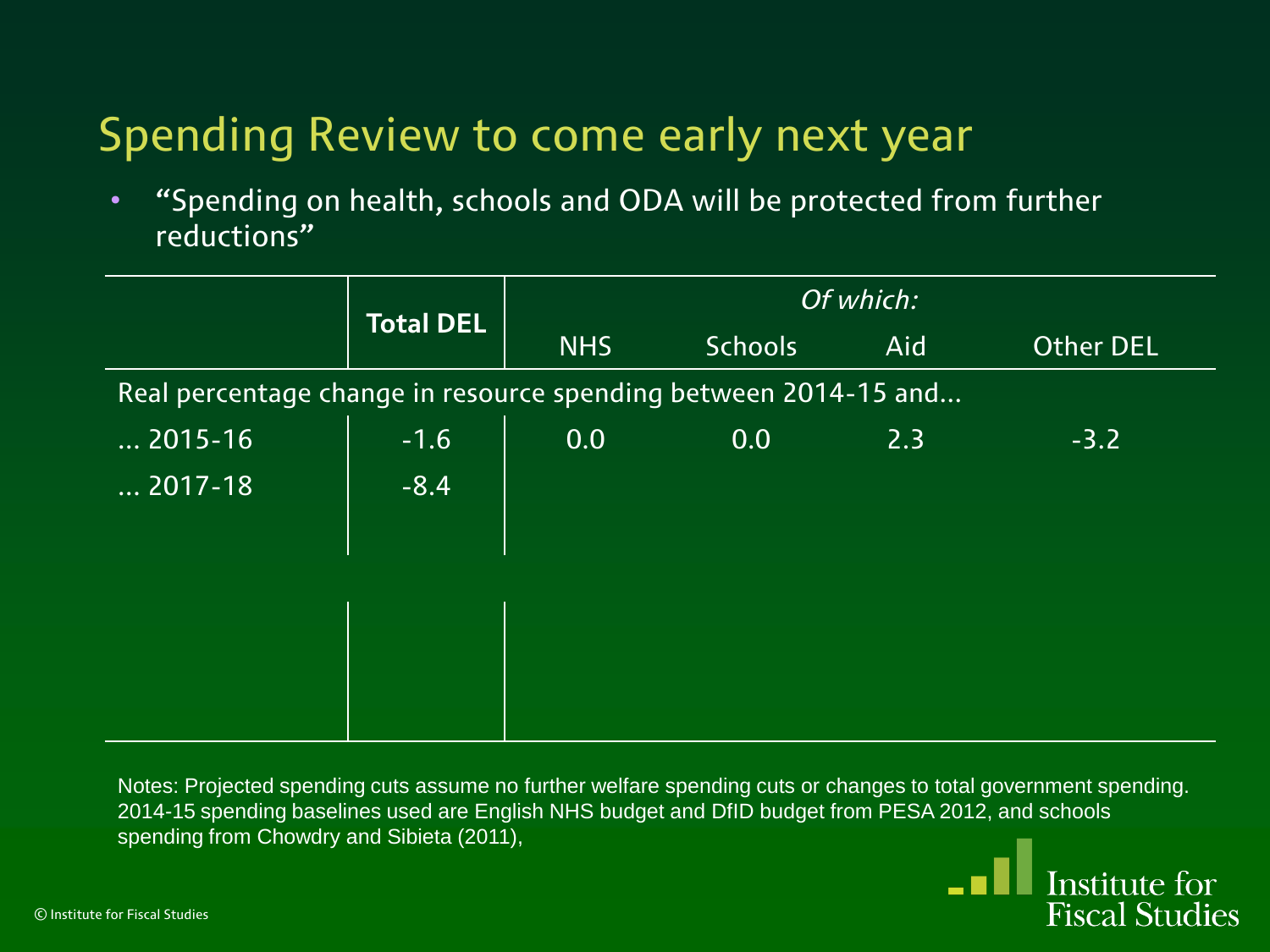• "Spending on health, schools and ODA will be protected from further reductions"

|                       | <b>Total DEL</b>                                                | Of which:  |                |     |                  |  |  |  |
|-----------------------|-----------------------------------------------------------------|------------|----------------|-----|------------------|--|--|--|
|                       |                                                                 | <b>NHS</b> | <b>Schools</b> | Aid | <b>Other DEL</b> |  |  |  |
|                       | Real percentage change in resource spending between 2014-15 and |            |                |     |                  |  |  |  |
| $\dots$ 2015-16       | $-1.6$                                                          | 0.0        | 0.0            | 2.3 | $-3.2$           |  |  |  |
| $\overline{}$ 2017-18 | $-8.4$                                                          |            |                |     |                  |  |  |  |
|                       |                                                                 |            |                |     |                  |  |  |  |
|                       |                                                                 |            |                |     |                  |  |  |  |
|                       |                                                                 |            |                |     |                  |  |  |  |
|                       |                                                                 |            |                |     |                  |  |  |  |
|                       |                                                                 |            |                |     |                  |  |  |  |

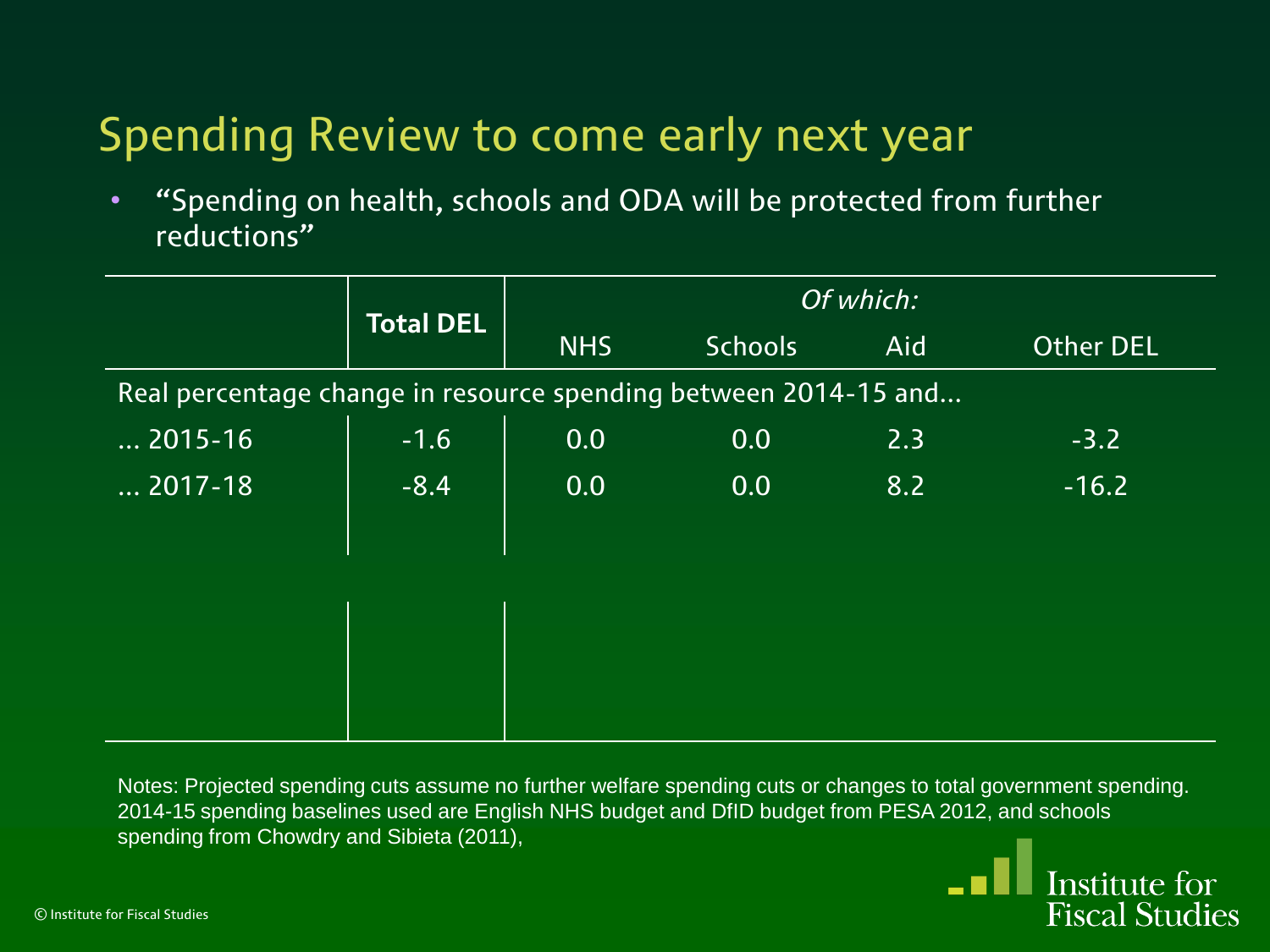• "Spending on health, schools and ODA will be protected from further reductions"

|                                                                 | <b>Total DEL</b> | Of which:  |                |     |                  |
|-----------------------------------------------------------------|------------------|------------|----------------|-----|------------------|
|                                                                 |                  | <b>NHS</b> | <b>Schools</b> | Aid | <b>Other DEL</b> |
| Real percentage change in resource spending between 2014-15 and |                  |            |                |     |                  |
| $\dots$ 2015-16                                                 | $-1.6$           | 0.0        | 0.0            | 2.3 | $-3.2$           |
| $\overline{\ldots}$ 2017-18 $^{\prime}$                         | $-8.4$           | 0.0        | 0.0            | 8.2 | $-16.2$          |
|                                                                 |                  |            |                |     |                  |
|                                                                 |                  |            |                |     |                  |
|                                                                 |                  |            |                |     |                  |
|                                                                 |                  |            |                |     |                  |
|                                                                 |                  |            |                |     |                  |

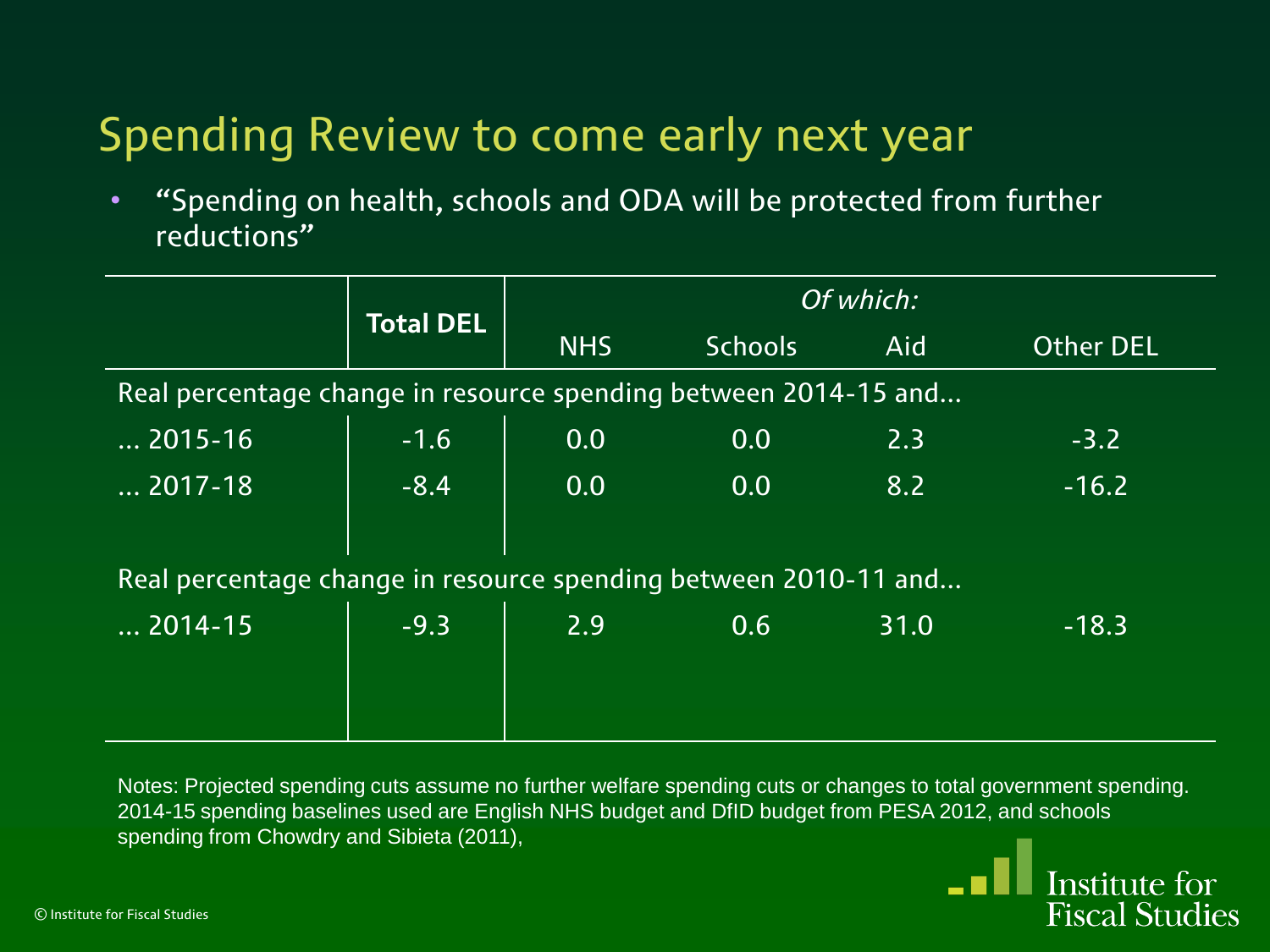• "Spending on health, schools and ODA will be protected from further reductions"

|                                                                 |                                                                 | Of which:  |                  |      |                  |  |  |  |
|-----------------------------------------------------------------|-----------------------------------------------------------------|------------|------------------|------|------------------|--|--|--|
|                                                                 | <b>Total DEL</b>                                                | <b>NHS</b> | <b>Schools</b>   | Aid  | <b>Other DEL</b> |  |  |  |
|                                                                 | Real percentage change in resource spending between 2014-15 and |            |                  |      |                  |  |  |  |
| $\dots$ 2015-16                                                 | $-1.6$                                                          | 0.0        | 0.0              | 2.3  | $-3.2$           |  |  |  |
| $\overline{}$ 2017-18                                           | $-8.4$                                                          | 0.0        | 0.0 <sub>1</sub> | 8.2  | $-16.2$          |  |  |  |
|                                                                 |                                                                 |            |                  |      |                  |  |  |  |
| Real percentage change in resource spending between 2010-11 and |                                                                 |            |                  |      |                  |  |  |  |
| $\overline{}$ 2014-15                                           | $-9.3$                                                          | 2.9        | 0.6              | 31.0 | $-18.3$          |  |  |  |
|                                                                 |                                                                 |            |                  |      |                  |  |  |  |
|                                                                 |                                                                 |            |                  |      |                  |  |  |  |

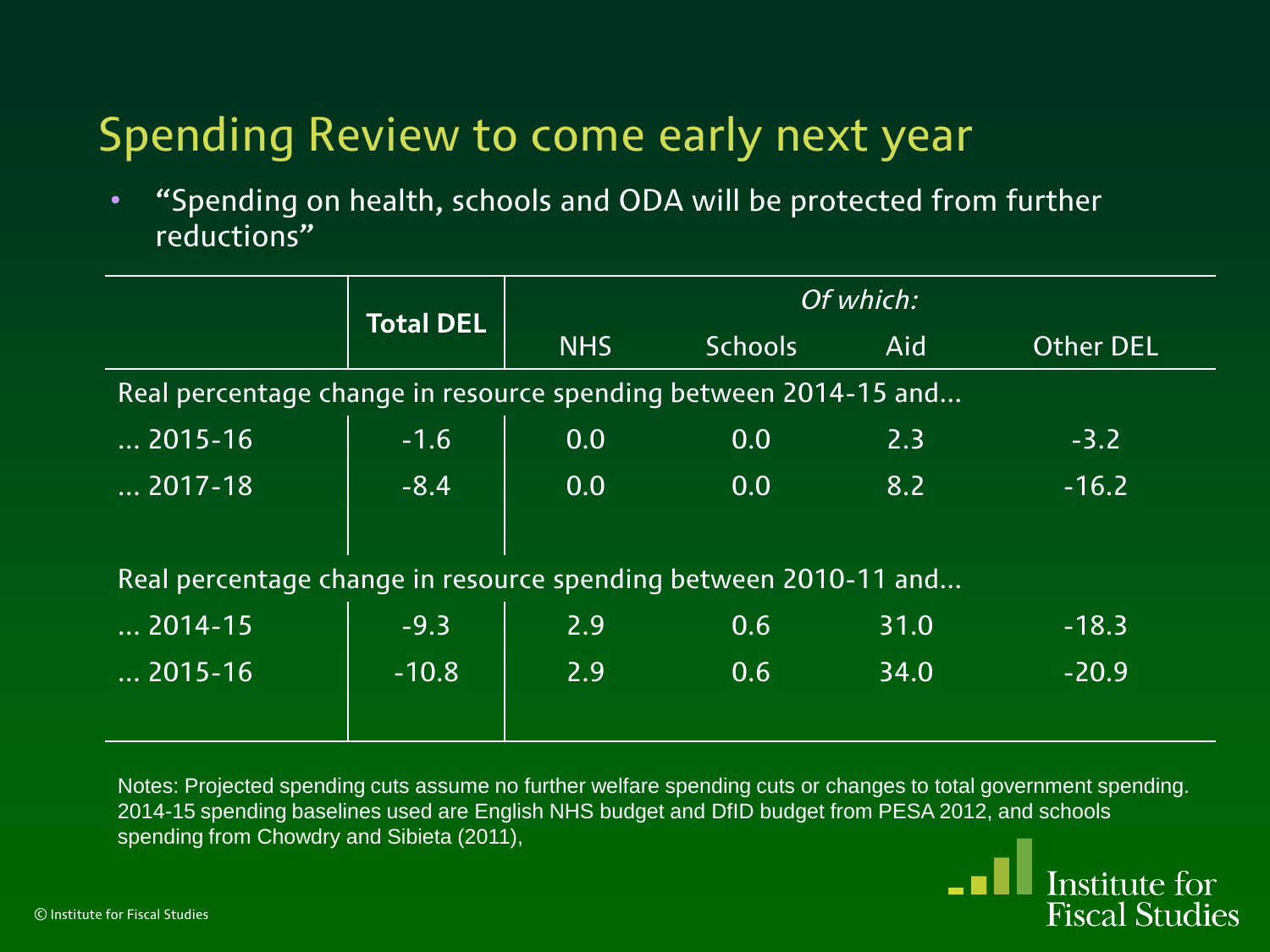• "Spending on health, schools and ODA will be protected from further reductions"

|                                                                 |                  | Of which:  |                |      |                  |  |  |
|-----------------------------------------------------------------|------------------|------------|----------------|------|------------------|--|--|
|                                                                 | <b>Total DEL</b> | <b>NHS</b> | <b>Schools</b> | Aid. | <b>Other DEL</b> |  |  |
| Real percentage change in resource spending between 2014-15 and |                  |            |                |      |                  |  |  |
| $\dots$ 2015-16                                                 | $-1.6$           | 0.0        | 0.0            | 2.3  | $-3.2$           |  |  |
| $\ldots$ 2017-18 $^{\prime}$                                    | $-8.4$           | 0.0        | 0.0            | 8.2  | $-16.2$          |  |  |
|                                                                 |                  |            |                |      |                  |  |  |
| Real percentage change in resource spending between 2010-11 and |                  |            |                |      |                  |  |  |
| $\overline{}$ 2014-15                                           | $-9.3$           | 2.9        | 0.6            | 31.0 | $-18.3$          |  |  |
| $\dots$ 2015-16                                                 | $-10.8$          | 2.9        | 0.6            | 34.0 | $-20.9$          |  |  |
|                                                                 |                  |            |                |      |                  |  |  |

Notes: Projected spending cuts assume no further welfare spending cuts or changes to total government spending. 2014-15 spending baselines used are English NHS budget and DfID budget from PESA 2012, and schools spending from Chowdry and Sibieta (2011),

Institute for

**Fiscal Studies**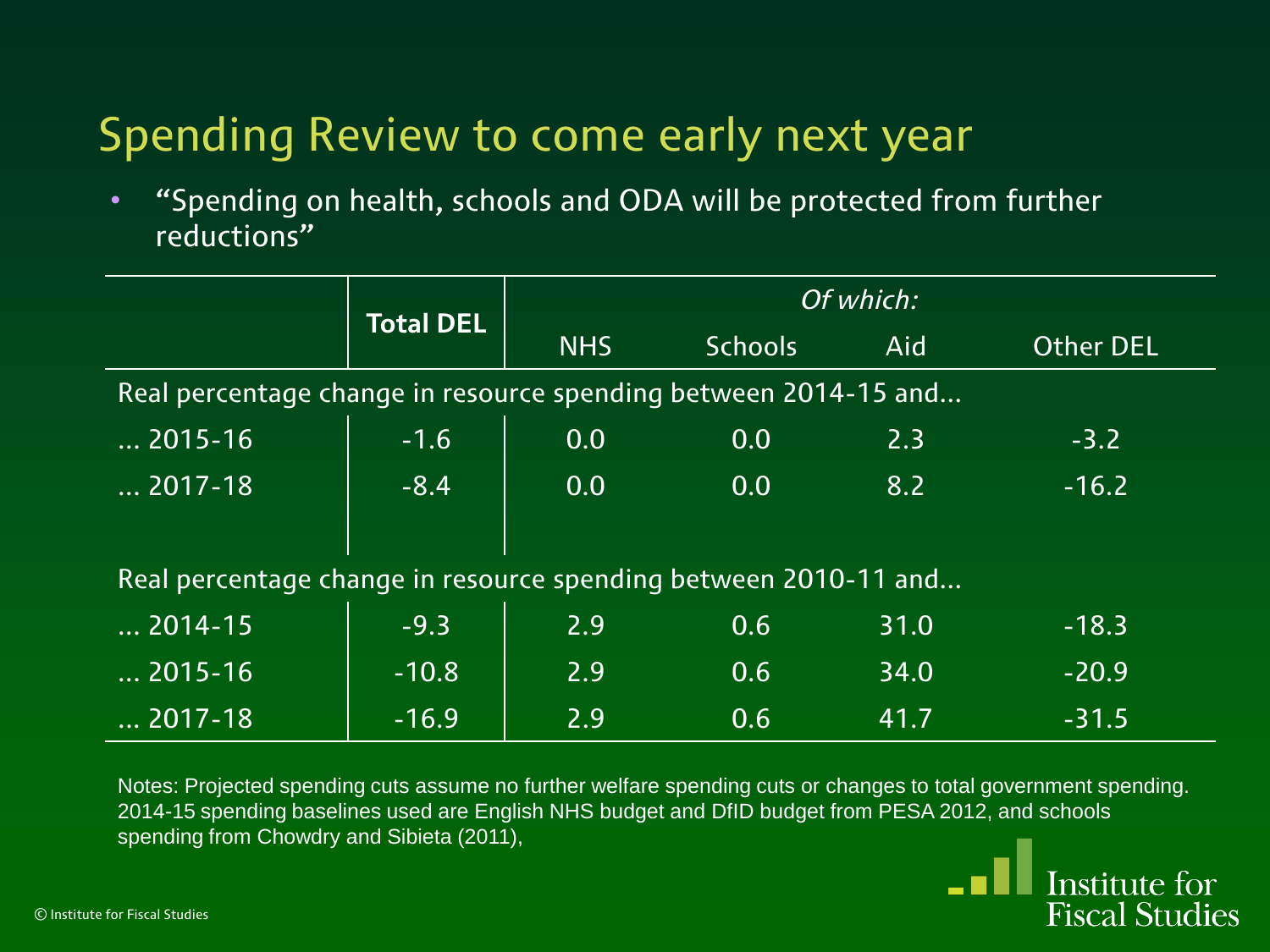• "Spending on health, schools and ODA will be protected from further reductions"

|                                                                 | <b>Total DEL</b> | Of which:  |                |      |                  |  |  |
|-----------------------------------------------------------------|------------------|------------|----------------|------|------------------|--|--|
|                                                                 |                  | <b>NHS</b> | <b>Schools</b> | Aid  | <b>Other DEL</b> |  |  |
| Real percentage change in resource spending between 2014-15 and |                  |            |                |      |                  |  |  |
| $\dots$ 2015-16                                                 | $-1.6$           | 0.0        | 0.0            | 2.3  | $-3.2$           |  |  |
| $\overline{}$ 2017-18                                           | $-8.4$           | 0.0        | 0.0            | 8.2  | $-16.2$          |  |  |
|                                                                 |                  |            |                |      |                  |  |  |
| Real percentage change in resource spending between 2010-11 and |                  |            |                |      |                  |  |  |
| $\overline{\ldots}$ 2014-15                                     | $-9.3$           | 2.9        | 0.6            | 31.0 | $-18.3$          |  |  |
| $\overline{}$ 2015-16                                           | $-10.8$          | 2.9        | 0.6            | 34.0 | $-20.9$          |  |  |
| $\overline{}$ 2017-18                                           | $-16.9$          | 2.9        | 0.6            | 41.7 | $-31.5$          |  |  |

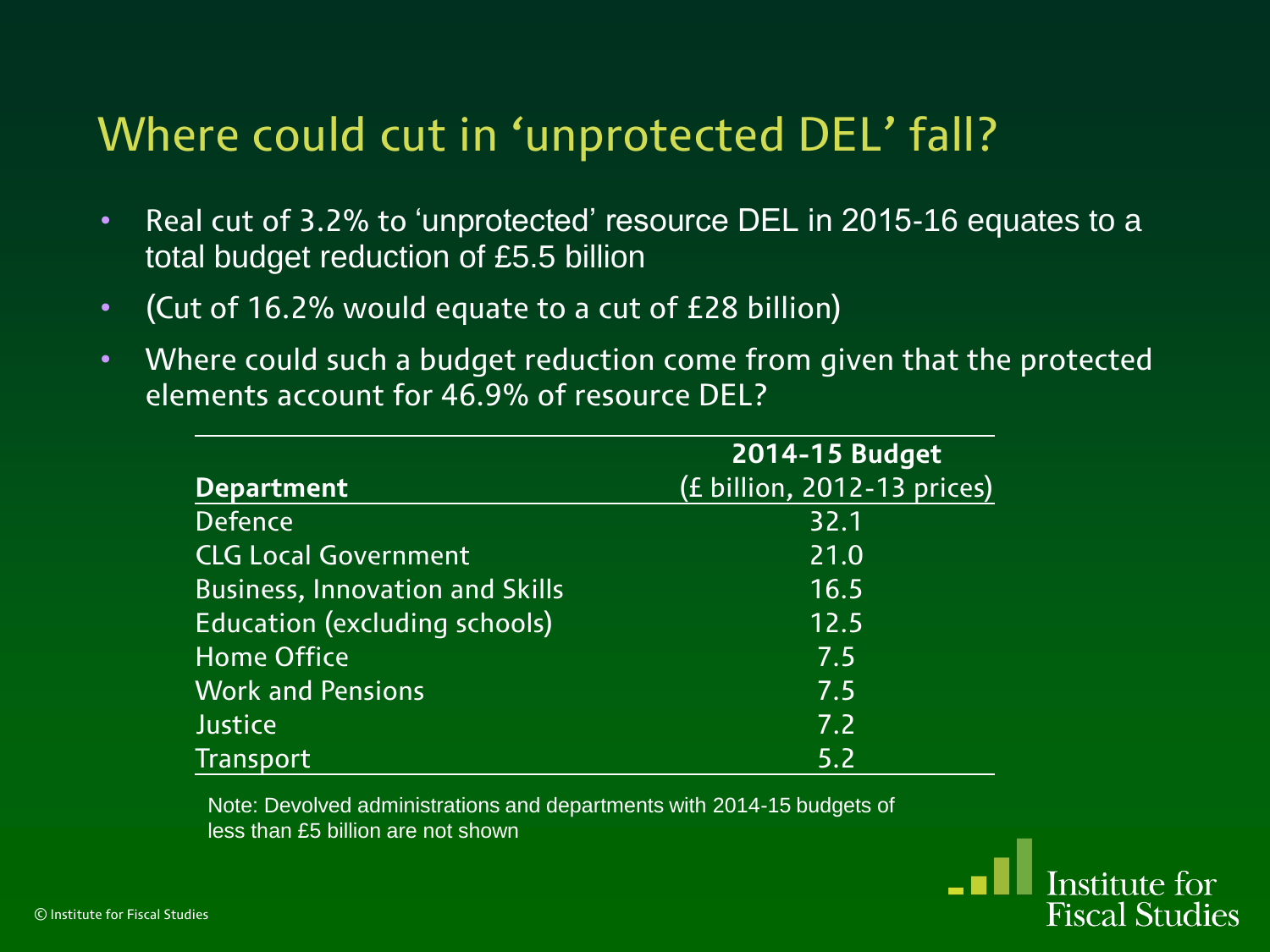#### Where could cut in 'unprotected DEL' fall?

- Real cut of 3.2% to 'unprotected' resource DEL in 2015-16 equates to a total budget reduction of £5.5 billion
- (Cut of 16.2% would equate to a cut of £28 billion)
- Where could such a budget reduction come from given that the protected elements account for 46.9% of resource DEL?

|                                        | 2014-15 Budget              |
|----------------------------------------|-----------------------------|
| <b>Department</b>                      | (£ billion, 2012-13 prices) |
| <b>Defence</b>                         | 32.1                        |
| <b>CLG Local Government</b>            | 21.0                        |
| <b>Business, Innovation and Skills</b> | 16.5                        |
| <b>Education (excluding schools)</b>   | 12.5                        |
| <b>Home Office</b>                     | 7.5                         |
| <b>Work and Pensions</b>               | 7.5                         |
| <b>Justice</b>                         | 7.2                         |
| <b>Transport</b>                       | 5.2                         |

Note: Devolved administrations and departments with 2014-15 budgets of less than £5 billion are not shown

> Institute for **Fiscal Studies**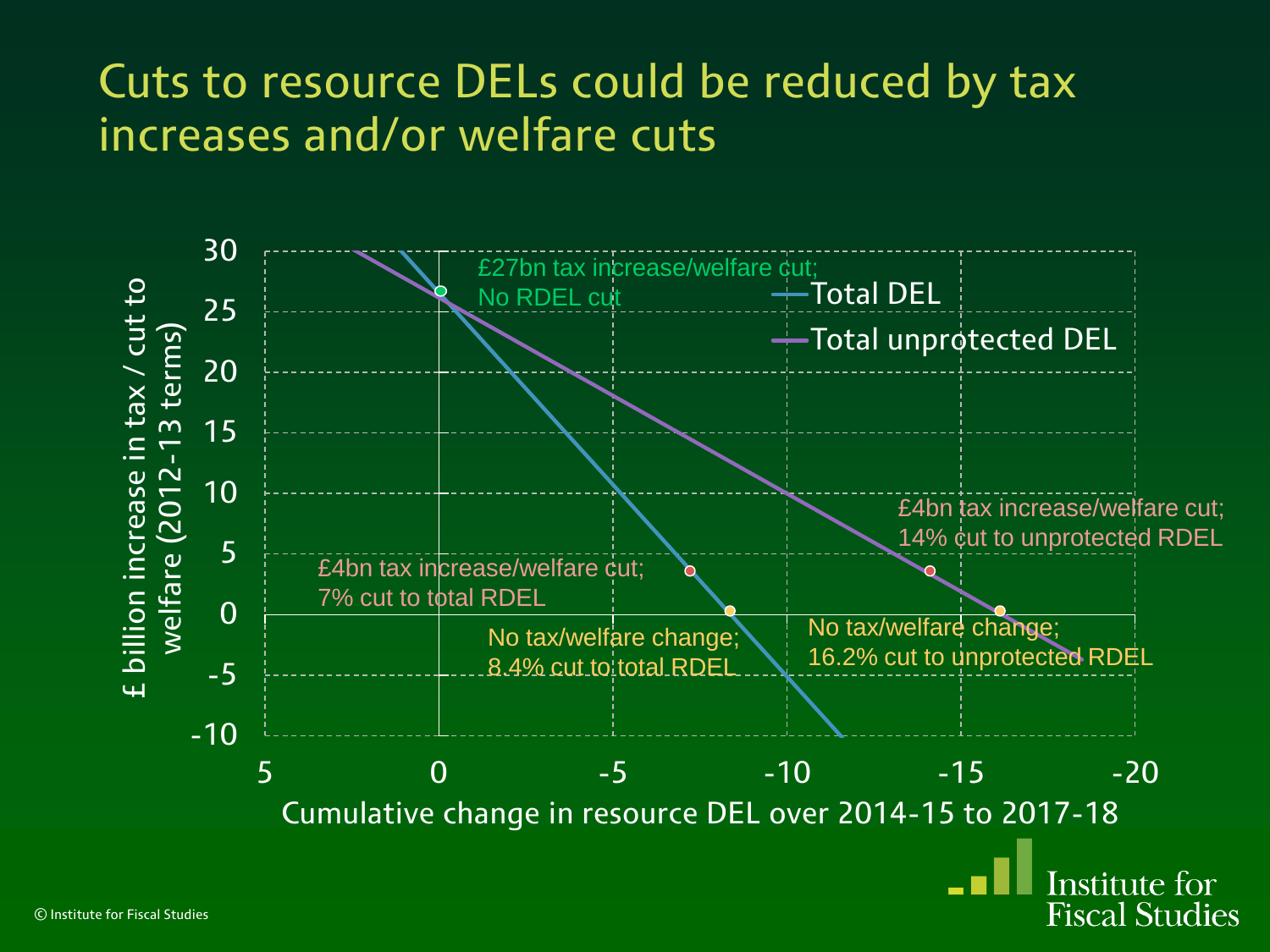#### Cuts to resource DELs could be reduced by tax increases and/or welfare cuts